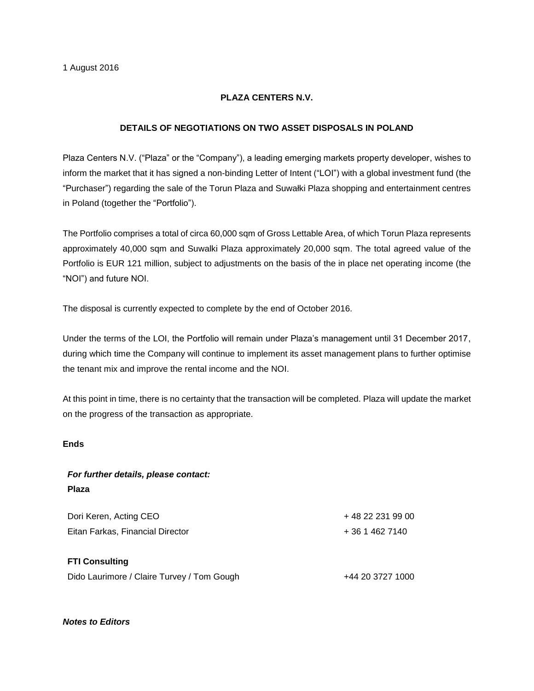## **PLAZA CENTERS N.V.**

## **DETAILS OF NEGOTIATIONS ON TWO ASSET DISPOSALS IN POLAND**

Plaza Centers N.V. ("Plaza" or the "Company"), a leading emerging markets property developer, wishes to inform the market that it has signed a non-binding Letter of Intent ("LOI") with a global investment fund (the "Purchaser") regarding the sale of the Torun Plaza and Suwałki Plaza shopping and entertainment centres in Poland (together the "Portfolio").

The Portfolio comprises a total of circa 60,000 sqm of Gross Lettable Area, of which Torun Plaza represents approximately 40,000 sqm and Suwalki Plaza approximately 20,000 sqm. The total agreed value of the Portfolio is EUR 121 million, subject to adjustments on the basis of the in place net operating income (the "NOI") and future NOI.

The disposal is currently expected to complete by the end of October 2016.

Under the terms of the LOI, the Portfolio will remain under Plaza's management until 31 December 2017, during which time the Company will continue to implement its asset management plans to further optimise the tenant mix and improve the rental income and the NOI.

At this point in time, there is no certainty that the transaction will be completed. Plaza will update the market on the progress of the transaction as appropriate.

#### **Ends**

# *For further details, please contact:* **Plaza**

Dori Keren, Acting CEO + 48 22 231 99 00 Eitan Farkas, Financial Director + 36 1 462 7140 **FTI Consulting**

Dido Laurimore / Claire Turvey / Tom Gough  $+44$  20 3727 1000

### *Notes to Editors*